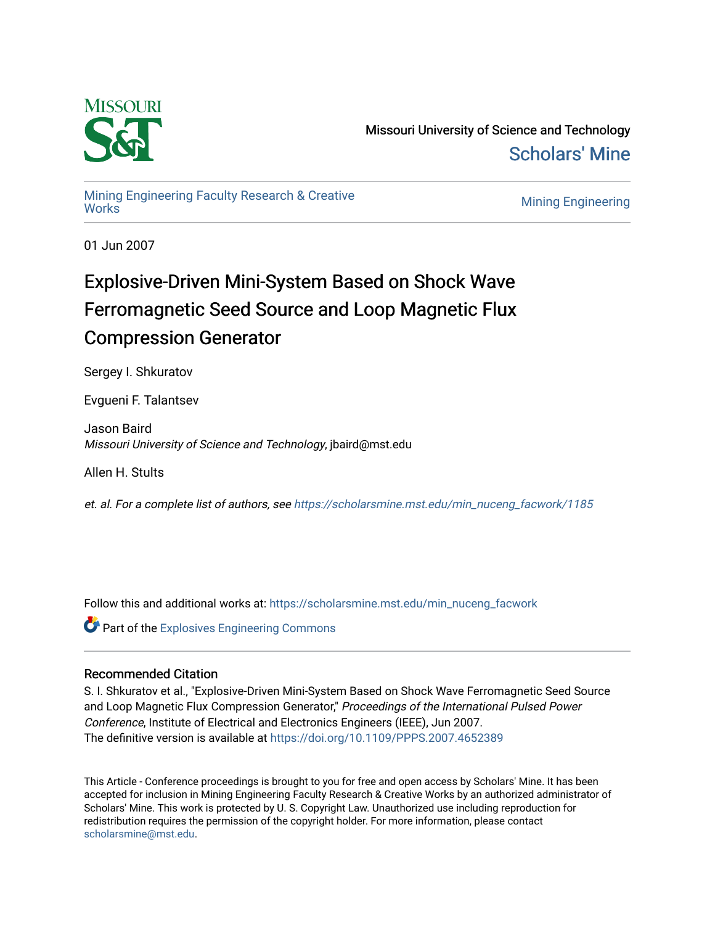

Missouri University of Science and Technology [Scholars' Mine](https://scholarsmine.mst.edu/) 

# [Mining Engineering Faculty Research & Creative](https://scholarsmine.mst.edu/min_nuceng_facwork)

**Mining Engineering** 

01 Jun 2007

## Explosive-Driven Mini-System Based on Shock Wave Ferromagnetic Seed Source and Loop Magnetic Flux Compression Generator

Sergey I. Shkuratov

Evgueni F. Talantsev

Jason Baird Missouri University of Science and Technology, jbaird@mst.edu

Allen H. Stults

et. al. For a complete list of authors, see [https://scholarsmine.mst.edu/min\\_nuceng\\_facwork/1185](https://scholarsmine.mst.edu/min_nuceng_facwork/1185) 

Follow this and additional works at: [https://scholarsmine.mst.edu/min\\_nuceng\\_facwork](https://scholarsmine.mst.edu/min_nuceng_facwork?utm_source=scholarsmine.mst.edu%2Fmin_nuceng_facwork%2F1185&utm_medium=PDF&utm_campaign=PDFCoverPages) 

**Part of the Explosives Engineering Commons** 

## Recommended Citation

S. I. Shkuratov et al., "Explosive-Driven Mini-System Based on Shock Wave Ferromagnetic Seed Source and Loop Magnetic Flux Compression Generator," Proceedings of the International Pulsed Power Conference, Institute of Electrical and Electronics Engineers (IEEE), Jun 2007. The definitive version is available at <https://doi.org/10.1109/PPPS.2007.4652389>

This Article - Conference proceedings is brought to you for free and open access by Scholars' Mine. It has been accepted for inclusion in Mining Engineering Faculty Research & Creative Works by an authorized administrator of Scholars' Mine. This work is protected by U. S. Copyright Law. Unauthorized use including reproduction for redistribution requires the permission of the copyright holder. For more information, please contact [scholarsmine@mst.edu.](mailto:scholarsmine@mst.edu)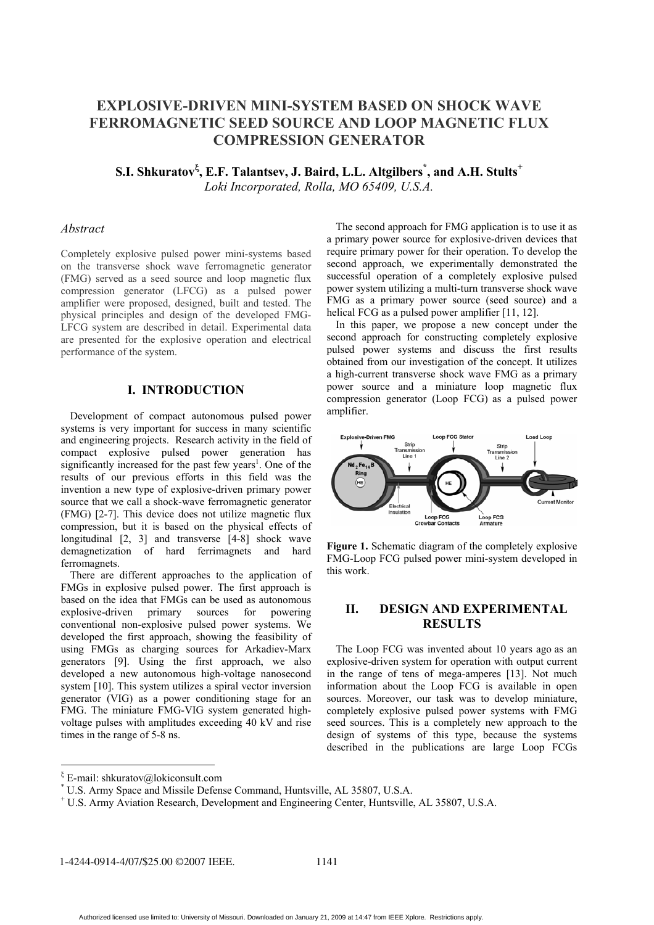## **EXPLOSIVE-DRIVEN MINI-SYSTEM BASED ON SHOCK WAVE FERROMAGNETIC SEED SOURCE AND LOOP MAGNETIC FLUX COMPRESSION GENERATOR**

 $\mathbf{S}.\mathbf{I}.$  Shkuratov<sup>ξ</sup>, E.F. Talantsev, J. Baird, L.L. Altgilbers  $\check{a}$ , and A.H. Stults  $^+$ *Loki Incorporated, Rolla, MO 65409, U.S.A.* 

#### *Abstract*

Completely explosive pulsed power mini-systems based on the transverse shock wave ferromagnetic generator (FMG) served as a seed source and loop magnetic flux compression generator (LFCG) as a pulsed power amplifier were proposed, designed, built and tested. The physical principles and design of the developed FMG-LFCG system are described in detail. Experimental data are presented for the explosive operation and electrical performance of the system.

## **I. INTRODUCTION**

Development of compact autonomous pulsed power systems is very important for success in many scientific and engineering projects. Research activity in the field of compact explosive pulsed power generation has significantly increased for the past few years<sup>1</sup>. One of the results of our previous efforts in this field was the invention a new type of explosive-driven primary power source that we call a shock-wave ferromagnetic generator (FMG) [2-7]. This device does not utilize magnetic flux compression, but it is based on the physical effects of longitudinal [2, 3] and transverse [4-8] shock wave demagnetization of hard ferrimagnets and hard ferromagnets.

There are different approaches to the application of FMGs in explosive pulsed power. The first approach is based on the idea that FMGs can be used as autonomous explosive-driven primary sources for powering conventional non-explosive pulsed power systems. We developed the first approach, showing the feasibility of using FMGs as charging sources for Arkadiev-Marx generators [9]. Using the first approach, we also developed a new autonomous high-voltage nanosecond system [10]. This system utilizes a spiral vector inversion generator (VIG) as a power conditioning stage for an FMG. The miniature FMG-VIG system generated highvoltage pulses with amplitudes exceeding 40 kV and rise times in the range of 5-8 ns.

The second approach for FMG application is to use it as a primary power source for explosive-driven devices that require primary power for their operation. To develop the second approach, we experimentally demonstrated the successful operation of a completely explosive pulsed power system utilizing a multi-turn transverse shock wave FMG as a primary power source (seed source) and a helical FCG as a pulsed power amplifier [11, 12].

In this paper, we propose a new concept under the second approach for constructing completely explosive pulsed power systems and discuss the first results obtained from our investigation of the concept. It utilizes a high-current transverse shock wave FMG as a primary power source and a miniature loop magnetic flux compression generator (Loop FCG) as а pulsed power amplifier.



Figure 1. Schematic diagram of the completely explosive FMG-Loop FCG pulsed power mini-system developed in this work.

## **II. DESIGN AND EXPERIMENTAL RESULTS**

The Loop FCG was invented about 10 years ago as an explosive-driven system for operation with output current in the range of tens of mega-amperes [13]. Not much information about the Loop FCG is available in open sources. Moreover, our task was to develop miniature, completely explosive pulsed power systems with FMG seed sources. This is a completely new approach to the design of systems of this type, because the systems described in the publications are large Loop FCGs

1-4244-0914-4/07/\$25.00 ©2007 IEEE. 1141

ξ E-mail: shkuratov@lokiconsult.com

<sup>\*</sup> U.S. Army Space and Missile Defense Command, Huntsville, AL 35807, U.S.A.

<sup>+</sup> U.S. Army Aviation Research, Development and Engineering Center, Huntsville, AL 35807, U.S.A.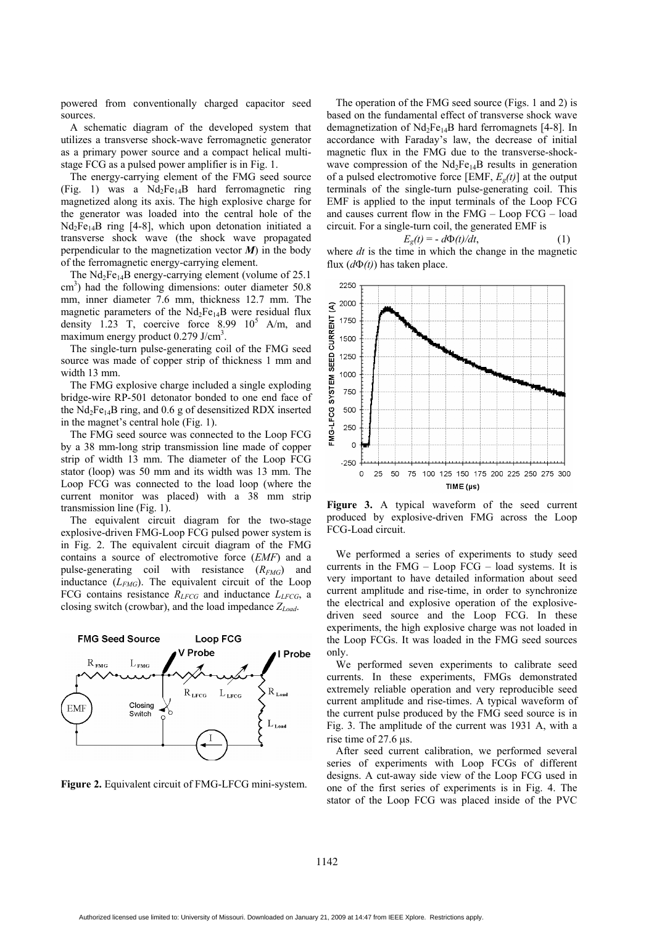powered from conventionally charged capacitor seed sources.

A schematic diagram of the developed system that utilizes a transverse shock-wave ferromagnetic generator as a primary power source and a compact helical multistage FCG as a pulsed power amplifier is in Fig. 1.

The energy-carrying element of the FMG seed source (Fig. 1) was a  $Nd_2Fe_{14}B$  hard ferromagnetic ring magnetized along its axis. The high explosive charge for the generator was loaded into the central hole of the  $Nd_2Fe_{14}B$  ring [4-8], which upon detonation initiated a transverse shock wave (the shock wave propagated perpendicular to the magnetization vector  $M$ ) in the body of the ferromagnetic energy-carrying element.

The  $Nd_2Fe_{14}B$  energy-carrying element (volume of 25.1) cm<sup>3</sup>) had the following dimensions: outer diameter 50.8 mm, inner diameter 7.6 mm, thickness 12.7 mm. The magnetic parameters of the  $Nd_2Fe_{14}B$  were residual flux density 1.23 T, coercive force  $8.99 \, 10^5$  A/m, and maximum energy product 0.279 J/cm<sup>3</sup>.

The single-turn pulse-generating coil of the FMG seed source was made of copper strip of thickness 1 mm and width 13 mm.

The FMG explosive charge included a single exploding bridge-wire RP-501 detonator bonded to one end face of the  $Nd_2Fe_{14}B$  ring, and 0.6 g of desensitized RDX inserted in the magnet's central hole (Fig. 1).

The FMG seed source was connected to the Loop FCG by a 38 mm-long strip transmission line made of copper strip of width 13 mm. The diameter of the Loop FCG stator (loop) was 50 mm and its width was 13 mm. The Loop FCG was connected to the load loop (where the current monitor was placed) with a 38 mm strip transmission line (Fig. 1).

The equivalent circuit diagram for the two-stage explosive-driven FMG-Loop FCG pulsed power system is in Fig. 2. The equivalent circuit diagram of the FMG contains a source of electromotive force (*EMF*) and a pulse-generating coil with resistance (*RFMG*) and inductance (*LFMG*). The equivalent circuit of the Loop FCG contains resistance  $R_{LFCG}$  and inductance  $L_{LFCG}$ , a closing switch (crowbar), and the load impedance *ZLoad*.



**Figure 2.** Equivalent circuit of FMG-LFCG mini-system.

The operation of the FMG seed source (Figs. 1 and 2) is based on the fundamental effect of transverse shock wave demagnetization of  $Nd_2Fe_{14}B$  hard ferromagnets [4-8]. In accordance with Faraday's law, the decrease of initial magnetic flux in the FMG due to the transverse-shockwave compression of the  $Nd_2Fe_{14}B$  results in generation of a pulsed electromotive force [EMF,  $E_g(t)$ ] at the output terminals of the single-turn pulse-generating coil. This EMF is applied to the input terminals of the Loop FCG and causes current flow in the FMG – Loop FCG – load circuit. For a single-turn coil, the generated EMF is

$$
E_g(t) = -d\Phi(t)/dt,\t\t(1)
$$

where *dt* is the time in which the change in the magnetic flux  $(d\Phi(t))$  has taken place.



**Figure 3.** A typical waveform of the seed current produced by explosive-driven FMG across the Loop FCG-Load circuit.

We performed a series of experiments to study seed currents in the  $FMG - Loop FCG - load$  systems. It is very important to have detailed information about seed current amplitude and rise-time, in order to synchronize the electrical and explosive operation of the explosivedriven seed source and the Loop FCG. In these experiments, the high explosive charge was not loaded in the Loop FCGs. It was loaded in the FMG seed sources only.

We performed seven experiments to calibrate seed currents. In these experiments, FMGs demonstrated extremely reliable operation and very reproducible seed current amplitude and rise-times. A typical waveform of the current pulse produced by the FMG seed source is in Fig. 3. The amplitude of the current was 1931 A, with a rise time of 27.6 µs.

After seed current calibration, we performed several series of experiments with Loop FCGs of different designs. A cut-away side view of the Loop FCG used in one of the first series of experiments is in Fig. 4. The stator of the Loop FCG was placed inside of the PVC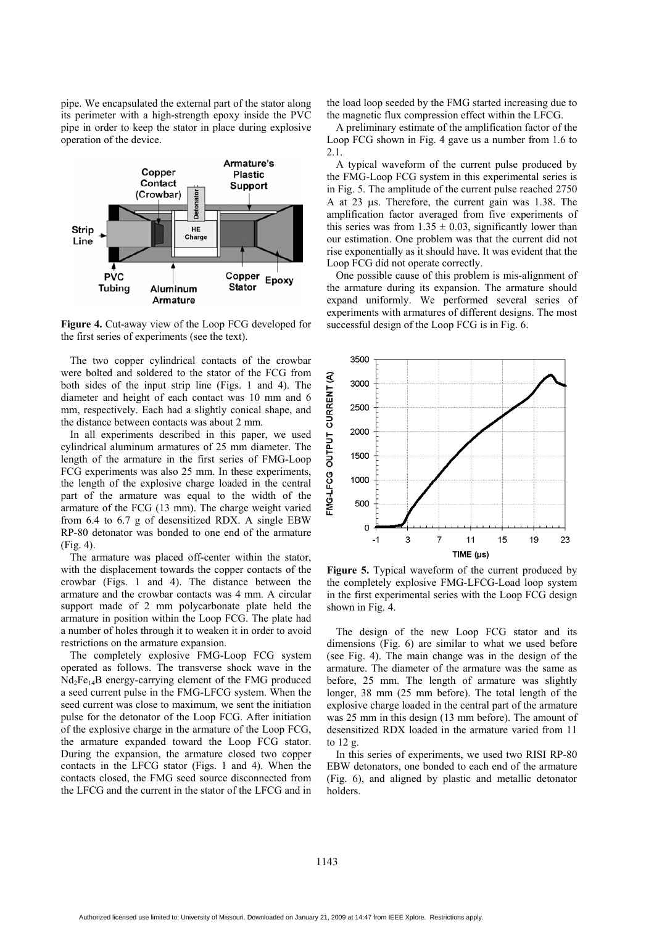pipe. We encapsulated the external part of the stator along its perimeter with a high-strength epoxy inside the PVC pipe in order to keep the stator in place during explosive operation of the device.



**Figure 4.** Cut-away view of the Loop FCG developed for the first series of experiments (see the text).

The two copper cylindrical contacts of the crowbar were bolted and soldered to the stator of the FCG from both sides of the input strip line (Figs. 1 and 4). The diameter and height of each contact was 10 mm and 6 mm, respectively. Each had a slightly conical shape, and the distance between contacts was about 2 mm.

In all experiments described in this paper, we used cylindrical aluminum armatures of 25 mm diameter. The length of the armature in the first series of FMG-Loop FCG experiments was also 25 mm. In these experiments, the length of the explosive charge loaded in the central part of the armature was equal to the width of the armature of the FCG (13 mm). The charge weight varied from 6.4 to 6.7 g of desensitized RDX. A single EBW RP-80 detonator was bonded to one end of the armature (Fig. 4).

The armature was placed off-center within the stator, with the displacement towards the copper contacts of the crowbar (Figs. 1 and 4). The distance between the armature and the crowbar contacts was 4 mm. A circular support made of 2 mm polycarbonate plate held the armature in position within the Loop FCG. The plate had a number of holes through it to weaken it in order to avoid restrictions on the armature expansion.

The completely explosive FMG-Loop FCG system operated as follows. The transverse shock wave in the  $Nd_2Fe_{14}B$  energy-carrying element of the FMG produced a seed current pulse in the FMG-LFCG system. When the seed current was close to maximum, we sent the initiation pulse for the detonator of the Loop FCG. After initiation of the explosive charge in the armature of the Loop FCG, the armature expanded toward the Loop FCG stator. During the expansion, the armature closed two copper contacts in the LFCG stator (Figs. 1 and 4). When the contacts closed, the FMG seed source disconnected from the LFCG and the current in the stator of the LFCG and in the load loop seeded by the FMG started increasing due to the magnetic flux compression effect within the LFCG.

A preliminary estimate of the amplification factor of the Loop FCG shown in Fig. 4 gave us a number from 1.6 to 2.1.

A typical waveform of the current pulse produced by the FMG-Loop FCG system in this experimental series is in Fig. 5. The amplitude of the current pulse reached 2750 A at 23 µs. Therefore, the current gain was 1.38. The amplification factor averaged from five experiments of this series was from  $1.35 \pm 0.03$ , significantly lower than our estimation. One problem was that the current did not rise exponentially as it should have. It was evident that the Loop FCG did not operate correctly.

One possible cause of this problem is mis-alignment of the armature during its expansion. The armature should expand uniformly. We performed several series of experiments with armatures of different designs. The most successful design of the Loop FCG is in Fig. 6.



**Figure 5.** Typical waveform of the current produced by the completely explosive FMG-LFCG-Load loop system in the first experimental series with the Loop FCG design shown in Fig. 4.

The design of the new Loop FCG stator and its dimensions (Fig. 6) are similar to what we used before (see Fig. 4). The main change was in the design of the armature. The diameter of the armature was the same as before, 25 mm. The length of armature was slightly longer, 38 mm (25 mm before). The total length of the explosive charge loaded in the central part of the armature was 25 mm in this design (13 mm before). The amount of desensitized RDX loaded in the armature varied from 11 to 12 g.

In this series of experiments, we used two RISI RP-80 EBW detonators, one bonded to each end of the armature (Fig. 6), and aligned by plastic and metallic detonator holders.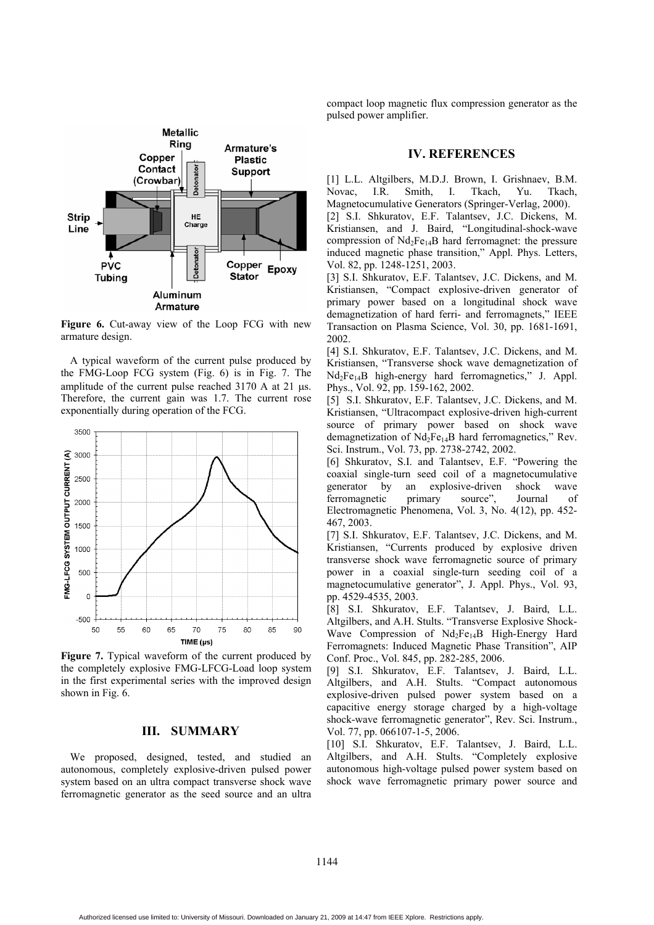

**Figure 6.** Cut-away view of the Loop FCG with new armature design.

A typical waveform of the current pulse produced by the FMG-Loop FCG system (Fig. 6) is in Fig. 7. The amplitude of the current pulse reached 3170 A at 21 µs. Therefore, the current gain was 1.7. The current rose exponentially during operation of the FCG.



**Figure 7.** Typical waveform of the current produced by the completely explosive FMG-LFCG-Load loop system in the first experimental series with the improved design shown in Fig. 6.

#### **III. SUMMARY**

We proposed, designed, tested, and studied an autonomous, completely explosive-driven pulsed power system based on an ultra compact transverse shock wave ferromagnetic generator as the seed source and an ultra compact loop magnetic flux compression generator as the pulsed power amplifier.

#### **IV. REFERENCES**

[1] L.L. Altgilbers, M.D.J. Brown, I. Grishnaev, B.M. Novac, I.R. Smith, I. Tkach, Yu. Tkach, Magnetocumulative Generators (Springer-Verlag, 2000).

[2] S.I. Shkuratov, E.F. Talantsev, J.C. Dickens, M. Kristiansen, and J. Baird, "Longitudinal-shock-wave compression of  $Nd_2Fe_{14}B$  hard ferromagnet: the pressure induced magnetic phase transition," Appl. Phys. Letters, Vol. 82, pp. 1248-1251, 2003.

[3] S.I. Shkuratov, E.F. Talantsev, J.C. Dickens, and M. Kristiansen, "Compact explosive-driven generator of primary power based on a longitudinal shock wave demagnetization of hard ferri- and ferromagnets," IEEE Transaction on Plasma Science, Vol. 30, pp. 1681-1691, 2002.

[4] S.I. Shkuratov, E.F. Talantsev, J.C. Dickens, and M. Kristiansen, "Transverse shock wave demagnetization of Nd2Fe14B high-energy hard ferromagnetics," J. Appl. Phys., Vol. 92, pp. 159-162, 2002.

[5] S.I. Shkuratov, E.F. Talantsev, J.C. Dickens, and M. Kristiansen, "Ultracompact explosive-driven high-current source of primary power based on shock wave demagnetization of  $Nd_2Fe_{14}B$  hard ferromagnetics," Rev. Sci. Instrum., Vol. 73, pp. 2738-2742, 2002.

[6] Shkuratov, S.I. and Talantsev, E.F. "Powering the coaxial single-turn seed coil of a magnetocumulative generator by an explosive-driven shock wave ferromagnetic primary source", Journal of Electromagnetic Phenomena, Vol. 3, No. 4(12), pp. 452- 467, 2003.

[7] S.I. Shkuratov, E.F. Talantsev, J.C. Dickens, and M. Kristiansen, "Currents produced by explosive driven transverse shock wave ferromagnetic source of primary power in a coaxial single-turn seeding coil of a magnetocumulative generator", J. Appl. Phys., Vol. 93, pp. 4529-4535, 2003.

[8] S.I. Shkuratov, E.F. Talantsev, J. Baird, L.L. Altgilbers, and A.H. Stults. "Transverse Explosive Shock-Wave Compression of Nd<sub>2</sub>Fe<sub>14</sub>B High-Energy Hard Ferromagnets: Induced Magnetic Phase Transition", AIP Conf. Proc., Vol. 845, pp. 282-285, 2006.

[9] S.I. Shkuratov, E.F. Talantsev, J. Baird, L.L. Altgilbers, and A.H. Stults. "Compact autonomous explosive-driven pulsed power system based on a capacitive energy storage charged by a high-voltage shock-wave ferromagnetic generator", Rev. Sci. Instrum., Vol. 77, pp. 066107-1-5, 2006.

[10] S.I. Shkuratov, E.F. Talantsev, J. Baird, L.L. Altgilbers, and A.H. Stults. "Completely explosive autonomous high-voltage pulsed power system based on shock wave ferromagnetic primary power source and

1144